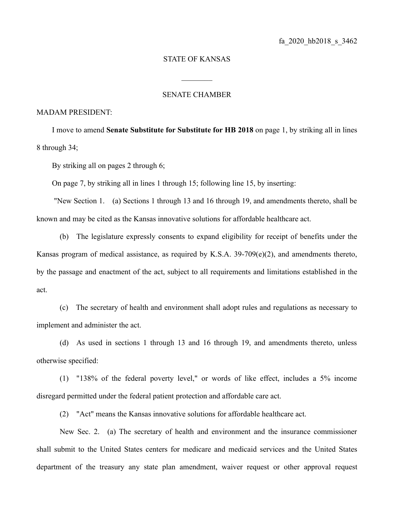## STATE OF KANSAS

 $\frac{1}{2}$ 

## SENATE CHAMBER

### MADAM PRESIDENT:

I move to amend **Senate Substitute for Substitute for HB 2018** on page 1, by striking all in lines 8 through 34;

By striking all on pages 2 through 6;

On page 7, by striking all in lines 1 through 15; following line 15, by inserting:

 "New Section 1. (a) Sections 1 through 13 and 16 through 19, and amendments thereto, shall be known and may be cited as the Kansas innovative solutions for affordable healthcare act.

(b) The legislature expressly consents to expand eligibility for receipt of benefits under the Kansas program of medical assistance, as required by K.S.A. 39-709(e)(2), and amendments thereto, by the passage and enactment of the act, subject to all requirements and limitations established in the act.

(c) The secretary of health and environment shall adopt rules and regulations as necessary to implement and administer the act.

(d) As used in sections 1 through 13 and 16 through 19, and amendments thereto, unless otherwise specified:

(1) "138% of the federal poverty level," or words of like effect, includes a 5% income disregard permitted under the federal patient protection and affordable care act.

(2) "Act" means the Kansas innovative solutions for affordable healthcare act.

New Sec. 2. (a) The secretary of health and environment and the insurance commissioner shall submit to the United States centers for medicare and medicaid services and the United States department of the treasury any state plan amendment, waiver request or other approval request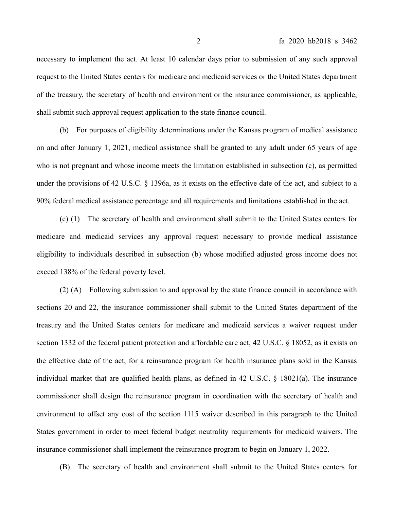necessary to implement the act. At least 10 calendar days prior to submission of any such approval request to the United States centers for medicare and medicaid services or the United States department of the treasury, the secretary of health and environment or the insurance commissioner, as applicable, shall submit such approval request application to the state finance council.

(b) For purposes of eligibility determinations under the Kansas program of medical assistance on and after January 1, 2021, medical assistance shall be granted to any adult under 65 years of age who is not pregnant and whose income meets the limitation established in subsection (c), as permitted under the provisions of 42 U.S.C. § 1396a, as it exists on the effective date of the act, and subject to a 90% federal medical assistance percentage and all requirements and limitations established in the act.

(c) (1) The secretary of health and environment shall submit to the United States centers for medicare and medicaid services any approval request necessary to provide medical assistance eligibility to individuals described in subsection (b) whose modified adjusted gross income does not exceed 138% of the federal poverty level.

(2) (A) Following submission to and approval by the state finance council in accordance with sections 20 and 22, the insurance commissioner shall submit to the United States department of the treasury and the United States centers for medicare and medicaid services a waiver request under section 1332 of the federal patient protection and affordable care act, 42 U.S.C. § 18052, as it exists on the effective date of the act, for a reinsurance program for health insurance plans sold in the Kansas individual market that are qualified health plans, as defined in 42 U.S.C. § 18021(a). The insurance commissioner shall design the reinsurance program in coordination with the secretary of health and environment to offset any cost of the section 1115 waiver described in this paragraph to the United States government in order to meet federal budget neutrality requirements for medicaid waivers. The insurance commissioner shall implement the reinsurance program to begin on January 1, 2022.

(B) The secretary of health and environment shall submit to the United States centers for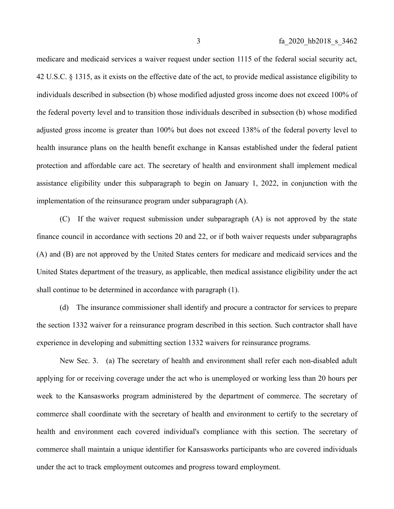medicare and medicaid services a waiver request under section 1115 of the federal social security act, 42 U.S.C. § 1315, as it exists on the effective date of the act, to provide medical assistance eligibility to individuals described in subsection (b) whose modified adjusted gross income does not exceed 100% of the federal poverty level and to transition those individuals described in subsection (b) whose modified adjusted gross income is greater than 100% but does not exceed 138% of the federal poverty level to health insurance plans on the health benefit exchange in Kansas established under the federal patient protection and affordable care act. The secretary of health and environment shall implement medical assistance eligibility under this subparagraph to begin on January 1, 2022, in conjunction with the implementation of the reinsurance program under subparagraph (A).

(C) If the waiver request submission under subparagraph (A) is not approved by the state finance council in accordance with sections 20 and 22, or if both waiver requests under subparagraphs (A) and (B) are not approved by the United States centers for medicare and medicaid services and the United States department of the treasury, as applicable, then medical assistance eligibility under the act shall continue to be determined in accordance with paragraph (1).

(d) The insurance commissioner shall identify and procure a contractor for services to prepare the section 1332 waiver for a reinsurance program described in this section. Such contractor shall have experience in developing and submitting section 1332 waivers for reinsurance programs.

New Sec. 3. (a) The secretary of health and environment shall refer each non-disabled adult applying for or receiving coverage under the act who is unemployed or working less than 20 hours per week to the Kansasworks program administered by the department of commerce. The secretary of commerce shall coordinate with the secretary of health and environment to certify to the secretary of health and environment each covered individual's compliance with this section. The secretary of commerce shall maintain a unique identifier for Kansasworks participants who are covered individuals under the act to track employment outcomes and progress toward employment.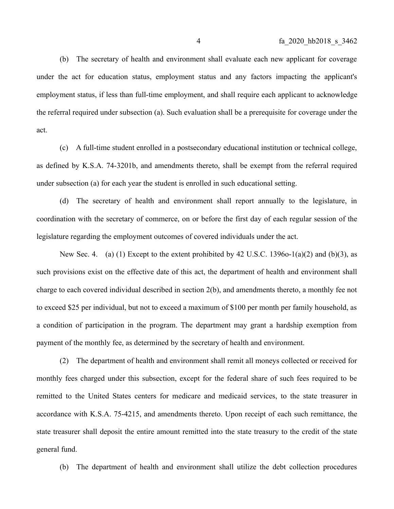(b) The secretary of health and environment shall evaluate each new applicant for coverage under the act for education status, employment status and any factors impacting the applicant's employment status, if less than full-time employment, and shall require each applicant to acknowledge the referral required under subsection (a). Such evaluation shall be a prerequisite for coverage under the act.

(c) A full-time student enrolled in a postsecondary educational institution or technical college, as defined by K.S.A. 74-3201b, and amendments thereto, shall be exempt from the referral required under subsection (a) for each year the student is enrolled in such educational setting.

(d) The secretary of health and environment shall report annually to the legislature, in coordination with the secretary of commerce, on or before the first day of each regular session of the legislature regarding the employment outcomes of covered individuals under the act.

New Sec. 4. (a) (1) Except to the extent prohibited by 42 U.S.C. 1396o-1(a)(2) and (b)(3), as such provisions exist on the effective date of this act, the department of health and environment shall charge to each covered individual described in section 2(b), and amendments thereto, a monthly fee not to exceed \$25 per individual, but not to exceed a maximum of \$100 per month per family household, as a condition of participation in the program. The department may grant a hardship exemption from payment of the monthly fee, as determined by the secretary of health and environment.

(2) The department of health and environment shall remit all moneys collected or received for monthly fees charged under this subsection, except for the federal share of such fees required to be remitted to the United States centers for medicare and medicaid services, to the state treasurer in accordance with K.S.A. 75-4215, and amendments thereto. Upon receipt of each such remittance, the state treasurer shall deposit the entire amount remitted into the state treasury to the credit of the state general fund.

(b) The department of health and environment shall utilize the debt collection procedures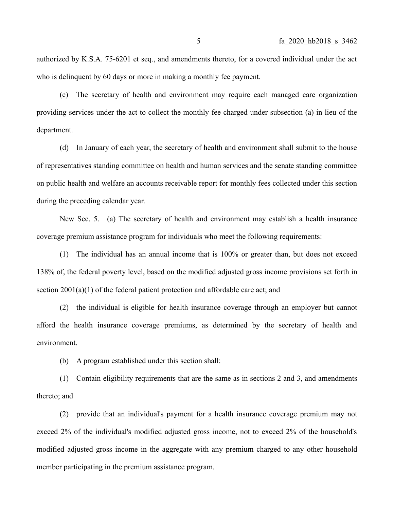authorized by K.S.A. 75-6201 et seq., and amendments thereto, for a covered individual under the act who is delinquent by 60 days or more in making a monthly fee payment.

(c) The secretary of health and environment may require each managed care organization providing services under the act to collect the monthly fee charged under subsection (a) in lieu of the department.

(d) In January of each year, the secretary of health and environment shall submit to the house of representatives standing committee on health and human services and the senate standing committee on public health and welfare an accounts receivable report for monthly fees collected under this section during the preceding calendar year.

New Sec. 5. (a) The secretary of health and environment may establish a health insurance coverage premium assistance program for individuals who meet the following requirements:

(1) The individual has an annual income that is 100% or greater than, but does not exceed 138% of, the federal poverty level, based on the modified adjusted gross income provisions set forth in section 2001(a)(1) of the federal patient protection and affordable care act; and

(2) the individual is eligible for health insurance coverage through an employer but cannot afford the health insurance coverage premiums, as determined by the secretary of health and environment.

(b) A program established under this section shall:

(1) Contain eligibility requirements that are the same as in sections 2 and 3, and amendments thereto; and

(2) provide that an individual's payment for a health insurance coverage premium may not exceed 2% of the individual's modified adjusted gross income, not to exceed 2% of the household's modified adjusted gross income in the aggregate with any premium charged to any other household member participating in the premium assistance program.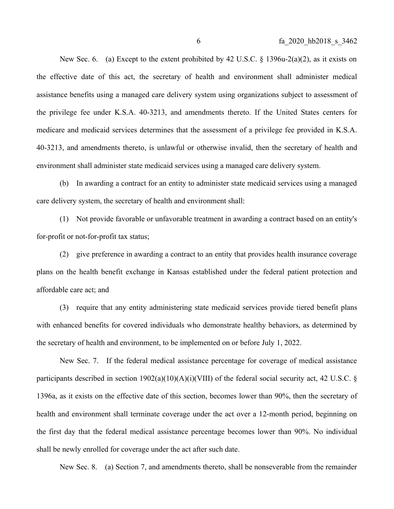New Sec. 6. (a) Except to the extent prohibited by 42 U.S.C.  $\S$  1396u-2(a)(2), as it exists on the effective date of this act, the secretary of health and environment shall administer medical assistance benefits using a managed care delivery system using organizations subject to assessment of the privilege fee under K.S.A. 40-3213, and amendments thereto. If the United States centers for medicare and medicaid services determines that the assessment of a privilege fee provided in K.S.A. 40-3213, and amendments thereto, is unlawful or otherwise invalid, then the secretary of health and environment shall administer state medicaid services using a managed care delivery system.

(b) In awarding a contract for an entity to administer state medicaid services using a managed care delivery system, the secretary of health and environment shall:

(1) Not provide favorable or unfavorable treatment in awarding a contract based on an entity's for-profit or not-for-profit tax status;

(2) give preference in awarding a contract to an entity that provides health insurance coverage plans on the health benefit exchange in Kansas established under the federal patient protection and affordable care act; and

(3) require that any entity administering state medicaid services provide tiered benefit plans with enhanced benefits for covered individuals who demonstrate healthy behaviors, as determined by the secretary of health and environment, to be implemented on or before July 1, 2022.

New Sec. 7. If the federal medical assistance percentage for coverage of medical assistance participants described in section  $1902(a)(10)(A)(i)(VIII)$  of the federal social security act, 42 U.S.C. § 1396a, as it exists on the effective date of this section, becomes lower than 90%, then the secretary of health and environment shall terminate coverage under the act over a 12-month period, beginning on the first day that the federal medical assistance percentage becomes lower than 90%. No individual shall be newly enrolled for coverage under the act after such date.

New Sec. 8. (a) Section 7, and amendments thereto, shall be nonseverable from the remainder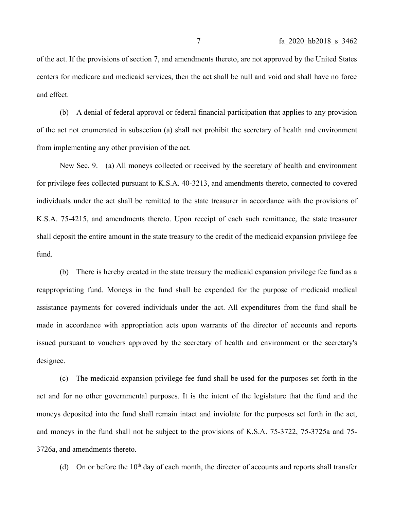of the act. If the provisions of section 7, and amendments thereto, are not approved by the United States centers for medicare and medicaid services, then the act shall be null and void and shall have no force and effect.

(b) A denial of federal approval or federal financial participation that applies to any provision of the act not enumerated in subsection (a) shall not prohibit the secretary of health and environment from implementing any other provision of the act.

New Sec. 9. (a) All moneys collected or received by the secretary of health and environment for privilege fees collected pursuant to K.S.A. 40-3213, and amendments thereto, connected to covered individuals under the act shall be remitted to the state treasurer in accordance with the provisions of K.S.A. 75-4215, and amendments thereto. Upon receipt of each such remittance, the state treasurer shall deposit the entire amount in the state treasury to the credit of the medicaid expansion privilege fee fund.

(b) There is hereby created in the state treasury the medicaid expansion privilege fee fund as a reappropriating fund. Moneys in the fund shall be expended for the purpose of medicaid medical assistance payments for covered individuals under the act. All expenditures from the fund shall be made in accordance with appropriation acts upon warrants of the director of accounts and reports issued pursuant to vouchers approved by the secretary of health and environment or the secretary's designee.

(c) The medicaid expansion privilege fee fund shall be used for the purposes set forth in the act and for no other governmental purposes. It is the intent of the legislature that the fund and the moneys deposited into the fund shall remain intact and inviolate for the purposes set forth in the act, and moneys in the fund shall not be subject to the provisions of K.S.A. 75-3722, 75-3725a and 75- 3726a, and amendments thereto.

(d) On or before the  $10<sup>th</sup>$  day of each month, the director of accounts and reports shall transfer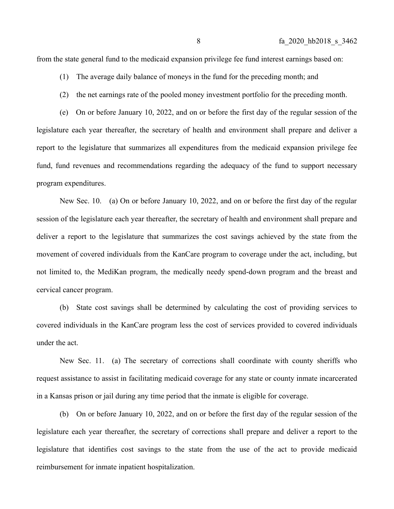from the state general fund to the medicaid expansion privilege fee fund interest earnings based on:

- (1) The average daily balance of moneys in the fund for the preceding month; and
- (2) the net earnings rate of the pooled money investment portfolio for the preceding month.

(e) On or before January 10, 2022, and on or before the first day of the regular session of the legislature each year thereafter, the secretary of health and environment shall prepare and deliver a report to the legislature that summarizes all expenditures from the medicaid expansion privilege fee fund, fund revenues and recommendations regarding the adequacy of the fund to support necessary program expenditures.

New Sec. 10. (a) On or before January 10, 2022, and on or before the first day of the regular session of the legislature each year thereafter, the secretary of health and environment shall prepare and deliver a report to the legislature that summarizes the cost savings achieved by the state from the movement of covered individuals from the KanCare program to coverage under the act, including, but not limited to, the MediKan program, the medically needy spend-down program and the breast and cervical cancer program.

(b) State cost savings shall be determined by calculating the cost of providing services to covered individuals in the KanCare program less the cost of services provided to covered individuals under the act.

New Sec. 11. (a) The secretary of corrections shall coordinate with county sheriffs who request assistance to assist in facilitating medicaid coverage for any state or county inmate incarcerated in a Kansas prison or jail during any time period that the inmate is eligible for coverage.

(b) On or before January 10, 2022, and on or before the first day of the regular session of the legislature each year thereafter, the secretary of corrections shall prepare and deliver a report to the legislature that identifies cost savings to the state from the use of the act to provide medicaid reimbursement for inmate inpatient hospitalization.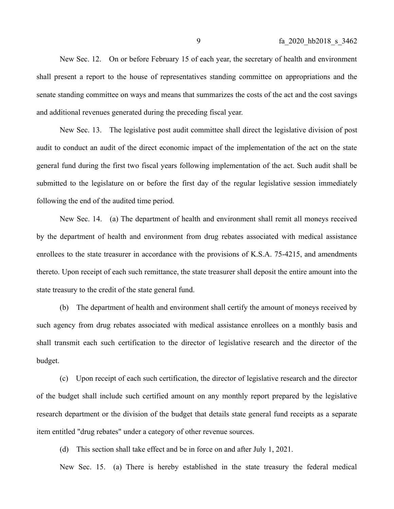New Sec. 12. On or before February 15 of each year, the secretary of health and environment shall present a report to the house of representatives standing committee on appropriations and the senate standing committee on ways and means that summarizes the costs of the act and the cost savings and additional revenues generated during the preceding fiscal year.

New Sec. 13. The legislative post audit committee shall direct the legislative division of post audit to conduct an audit of the direct economic impact of the implementation of the act on the state general fund during the first two fiscal years following implementation of the act. Such audit shall be submitted to the legislature on or before the first day of the regular legislative session immediately following the end of the audited time period.

New Sec. 14. (a) The department of health and environment shall remit all moneys received by the department of health and environment from drug rebates associated with medical assistance enrollees to the state treasurer in accordance with the provisions of K.S.A. 75-4215, and amendments thereto. Upon receipt of each such remittance, the state treasurer shall deposit the entire amount into the state treasury to the credit of the state general fund.

(b) The department of health and environment shall certify the amount of moneys received by such agency from drug rebates associated with medical assistance enrollees on a monthly basis and shall transmit each such certification to the director of legislative research and the director of the budget.

(c) Upon receipt of each such certification, the director of legislative research and the director of the budget shall include such certified amount on any monthly report prepared by the legislative research department or the division of the budget that details state general fund receipts as a separate item entitled "drug rebates" under a category of other revenue sources.

(d) This section shall take effect and be in force on and after July 1, 2021.

New Sec. 15. (a) There is hereby established in the state treasury the federal medical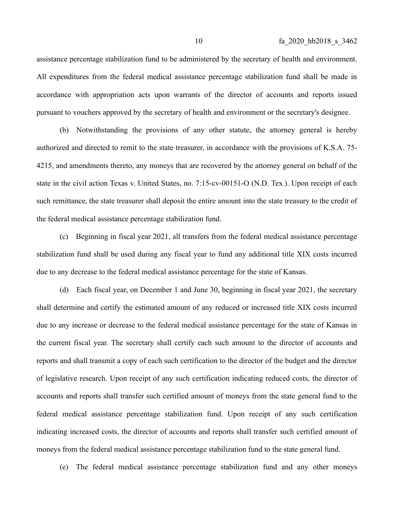assistance percentage stabilization fund to be administered by the secretary of health and environment. All expenditures from the federal medical assistance percentage stabilization fund shall be made in accordance with appropriation acts upon warrants of the director of accounts and reports issued pursuant to vouchers approved by the secretary of health and environment or the secretary's designee.

(b) Notwithstanding the provisions of any other statute, the attorney general is hereby authorized and directed to remit to the state treasurer, in accordance with the provisions of K.S.A. 75- 4215, and amendments thereto, any moneys that are recovered by the attorney general on behalf of the state in the civil action Texas v. United States, no. 7:15-cv-00151-O (N.D. Tex.). Upon receipt of each such remittance, the state treasurer shall deposit the entire amount into the state treasury to the credit of the federal medical assistance percentage stabilization fund.

(c) Beginning in fiscal year 2021, all transfers from the federal medical assistance percentage stabilization fund shall be used during any fiscal year to fund any additional title XIX costs incurred due to any decrease to the federal medical assistance percentage for the state of Kansas.

(d) Each fiscal year, on December 1 and June 30, beginning in fiscal year 2021, the secretary shall determine and certify the estimated amount of any reduced or increased title XIX costs incurred due to any increase or decrease to the federal medical assistance percentage for the state of Kansas in the current fiscal year. The secretary shall certify each such amount to the director of accounts and reports and shall transmit a copy of each such certification to the director of the budget and the director of legislative research. Upon receipt of any such certification indicating reduced costs, the director of accounts and reports shall transfer such certified amount of moneys from the state general fund to the federal medical assistance percentage stabilization fund. Upon receipt of any such certification indicating increased costs, the director of accounts and reports shall transfer such certified amount of moneys from the federal medical assistance percentage stabilization fund to the state general fund.

(e) The federal medical assistance percentage stabilization fund and any other moneys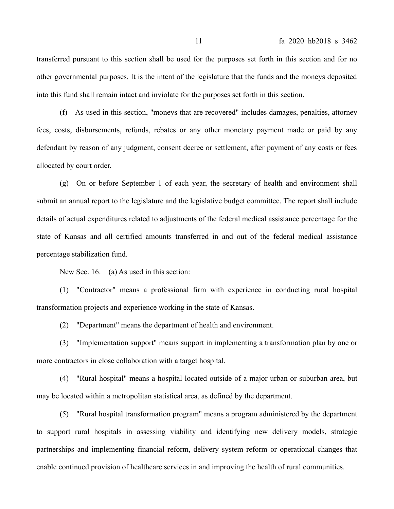transferred pursuant to this section shall be used for the purposes set forth in this section and for no other governmental purposes. It is the intent of the legislature that the funds and the moneys deposited into this fund shall remain intact and inviolate for the purposes set forth in this section.

(f) As used in this section, "moneys that are recovered" includes damages, penalties, attorney fees, costs, disbursements, refunds, rebates or any other monetary payment made or paid by any defendant by reason of any judgment, consent decree or settlement, after payment of any costs or fees allocated by court order.

(g) On or before September 1 of each year, the secretary of health and environment shall submit an annual report to the legislature and the legislative budget committee. The report shall include details of actual expenditures related to adjustments of the federal medical assistance percentage for the state of Kansas and all certified amounts transferred in and out of the federal medical assistance percentage stabilization fund.

New Sec. 16. (a) As used in this section:

(1) "Contractor" means a professional firm with experience in conducting rural hospital transformation projects and experience working in the state of Kansas.

(2) "Department" means the department of health and environment.

(3) "Implementation support" means support in implementing a transformation plan by one or more contractors in close collaboration with a target hospital.

(4) "Rural hospital" means a hospital located outside of a major urban or suburban area, but may be located within a metropolitan statistical area, as defined by the department.

(5) "Rural hospital transformation program" means a program administered by the department to support rural hospitals in assessing viability and identifying new delivery models, strategic partnerships and implementing financial reform, delivery system reform or operational changes that enable continued provision of healthcare services in and improving the health of rural communities.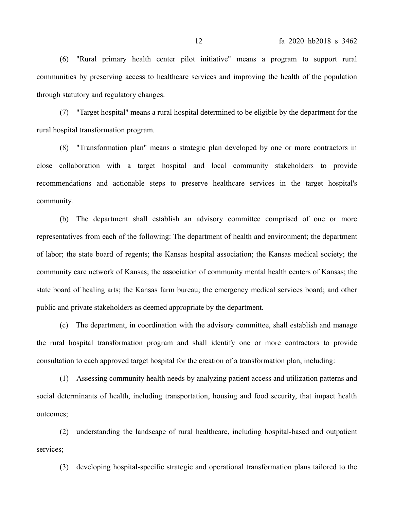(6) "Rural primary health center pilot initiative" means a program to support rural communities by preserving access to healthcare services and improving the health of the population through statutory and regulatory changes.

(7) "Target hospital" means a rural hospital determined to be eligible by the department for the rural hospital transformation program.

(8) "Transformation plan" means a strategic plan developed by one or more contractors in close collaboration with a target hospital and local community stakeholders to provide recommendations and actionable steps to preserve healthcare services in the target hospital's community.

(b) The department shall establish an advisory committee comprised of one or more representatives from each of the following: The department of health and environment; the department of labor; the state board of regents; the Kansas hospital association; the Kansas medical society; the community care network of Kansas; the association of community mental health centers of Kansas; the state board of healing arts; the Kansas farm bureau; the emergency medical services board; and other public and private stakeholders as deemed appropriate by the department.

(c) The department, in coordination with the advisory committee, shall establish and manage the rural hospital transformation program and shall identify one or more contractors to provide consultation to each approved target hospital for the creation of a transformation plan, including:

(1) Assessing community health needs by analyzing patient access and utilization patterns and social determinants of health, including transportation, housing and food security, that impact health outcomes;

(2) understanding the landscape of rural healthcare, including hospital-based and outpatient services;

(3) developing hospital-specific strategic and operational transformation plans tailored to the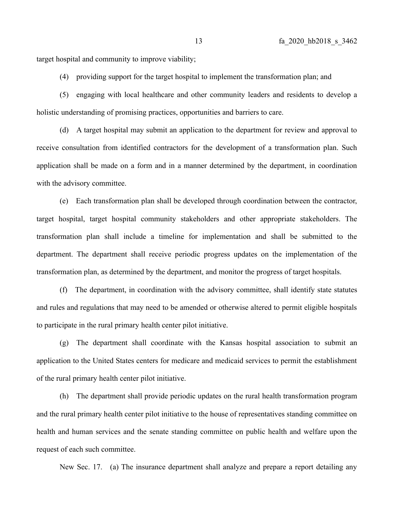target hospital and community to improve viability;

(4) providing support for the target hospital to implement the transformation plan; and

(5) engaging with local healthcare and other community leaders and residents to develop a holistic understanding of promising practices, opportunities and barriers to care.

(d) A target hospital may submit an application to the department for review and approval to receive consultation from identified contractors for the development of a transformation plan. Such application shall be made on a form and in a manner determined by the department, in coordination with the advisory committee.

(e) Each transformation plan shall be developed through coordination between the contractor, target hospital, target hospital community stakeholders and other appropriate stakeholders. The transformation plan shall include a timeline for implementation and shall be submitted to the department. The department shall receive periodic progress updates on the implementation of the transformation plan, as determined by the department, and monitor the progress of target hospitals.

(f) The department, in coordination with the advisory committee, shall identify state statutes and rules and regulations that may need to be amended or otherwise altered to permit eligible hospitals to participate in the rural primary health center pilot initiative.

(g) The department shall coordinate with the Kansas hospital association to submit an application to the United States centers for medicare and medicaid services to permit the establishment of the rural primary health center pilot initiative.

(h) The department shall provide periodic updates on the rural health transformation program and the rural primary health center pilot initiative to the house of representatives standing committee on health and human services and the senate standing committee on public health and welfare upon the request of each such committee.

New Sec. 17. (a) The insurance department shall analyze and prepare a report detailing any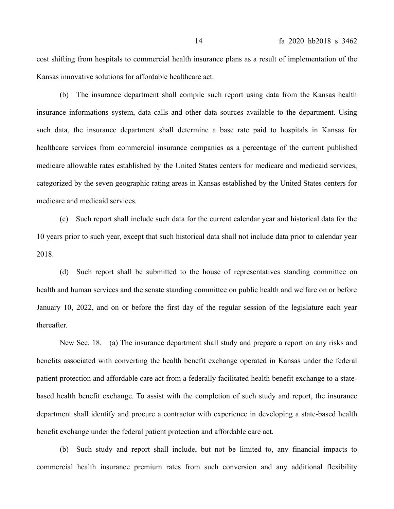cost shifting from hospitals to commercial health insurance plans as a result of implementation of the Kansas innovative solutions for affordable healthcare act.

(b) The insurance department shall compile such report using data from the Kansas health insurance informations system, data calls and other data sources available to the department. Using such data, the insurance department shall determine a base rate paid to hospitals in Kansas for healthcare services from commercial insurance companies as a percentage of the current published medicare allowable rates established by the United States centers for medicare and medicaid services, categorized by the seven geographic rating areas in Kansas established by the United States centers for medicare and medicaid services.

(c) Such report shall include such data for the current calendar year and historical data for the 10 years prior to such year, except that such historical data shall not include data prior to calendar year 2018.

(d) Such report shall be submitted to the house of representatives standing committee on health and human services and the senate standing committee on public health and welfare on or before January 10, 2022, and on or before the first day of the regular session of the legislature each year thereafter.

New Sec. 18. (a) The insurance department shall study and prepare a report on any risks and benefits associated with converting the health benefit exchange operated in Kansas under the federal patient protection and affordable care act from a federally facilitated health benefit exchange to a statebased health benefit exchange. To assist with the completion of such study and report, the insurance department shall identify and procure a contractor with experience in developing a state-based health benefit exchange under the federal patient protection and affordable care act.

(b) Such study and report shall include, but not be limited to, any financial impacts to commercial health insurance premium rates from such conversion and any additional flexibility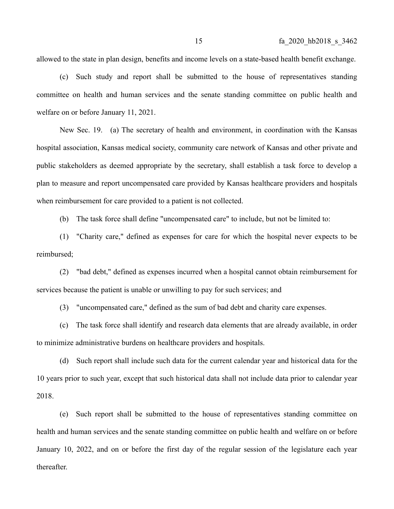allowed to the state in plan design, benefits and income levels on a state-based health benefit exchange.

(c) Such study and report shall be submitted to the house of representatives standing committee on health and human services and the senate standing committee on public health and welfare on or before January 11, 2021.

New Sec. 19. (a) The secretary of health and environment, in coordination with the Kansas hospital association, Kansas medical society, community care network of Kansas and other private and public stakeholders as deemed appropriate by the secretary, shall establish a task force to develop a plan to measure and report uncompensated care provided by Kansas healthcare providers and hospitals when reimbursement for care provided to a patient is not collected.

(b) The task force shall define "uncompensated care" to include, but not be limited to:

(1) "Charity care," defined as expenses for care for which the hospital never expects to be reimbursed;

(2) "bad debt," defined as expenses incurred when a hospital cannot obtain reimbursement for services because the patient is unable or unwilling to pay for such services; and

(3) "uncompensated care," defined as the sum of bad debt and charity care expenses.

(c) The task force shall identify and research data elements that are already available, in order to minimize administrative burdens on healthcare providers and hospitals.

(d) Such report shall include such data for the current calendar year and historical data for the 10 years prior to such year, except that such historical data shall not include data prior to calendar year 2018.

(e) Such report shall be submitted to the house of representatives standing committee on health and human services and the senate standing committee on public health and welfare on or before January 10, 2022, and on or before the first day of the regular session of the legislature each year thereafter.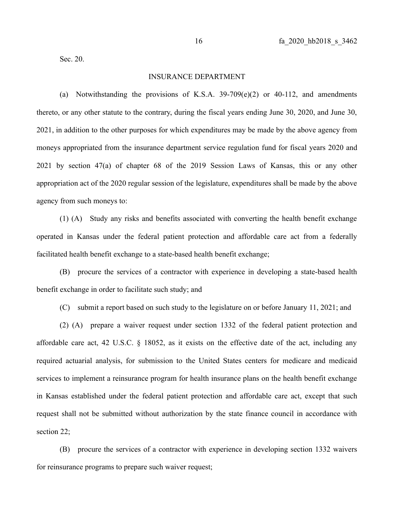Sec. 20.

#### INSURANCE DEPARTMENT

(a) Notwithstanding the provisions of K.S.A.  $39-709(e)(2)$  or 40-112, and amendments thereto, or any other statute to the contrary, during the fiscal years ending June 30, 2020, and June 30, 2021, in addition to the other purposes for which expenditures may be made by the above agency from moneys appropriated from the insurance department service regulation fund for fiscal years 2020 and 2021 by section 47(a) of chapter 68 of the 2019 Session Laws of Kansas, this or any other appropriation act of the 2020 regular session of the legislature, expenditures shall be made by the above agency from such moneys to:

(1) (A) Study any risks and benefits associated with converting the health benefit exchange operated in Kansas under the federal patient protection and affordable care act from a federally facilitated health benefit exchange to a state-based health benefit exchange;

(B) procure the services of a contractor with experience in developing a state-based health benefit exchange in order to facilitate such study; and

(C) submit a report based on such study to the legislature on or before January 11, 2021; and

(2) (A) prepare a waiver request under section 1332 of the federal patient protection and affordable care act, 42 U.S.C. § 18052, as it exists on the effective date of the act, including any required actuarial analysis, for submission to the United States centers for medicare and medicaid services to implement a reinsurance program for health insurance plans on the health benefit exchange in Kansas established under the federal patient protection and affordable care act, except that such request shall not be submitted without authorization by the state finance council in accordance with section 22;

(B) procure the services of a contractor with experience in developing section 1332 waivers for reinsurance programs to prepare such waiver request;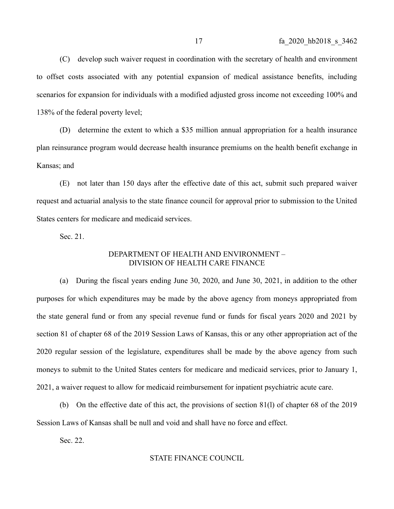(C) develop such waiver request in coordination with the secretary of health and environment to offset costs associated with any potential expansion of medical assistance benefits, including scenarios for expansion for individuals with a modified adjusted gross income not exceeding 100% and 138% of the federal poverty level;

(D) determine the extent to which a \$35 million annual appropriation for a health insurance plan reinsurance program would decrease health insurance premiums on the health benefit exchange in Kansas; and

(E) not later than 150 days after the effective date of this act, submit such prepared waiver request and actuarial analysis to the state finance council for approval prior to submission to the United States centers for medicare and medicaid services.

Sec. 21.

# DEPARTMENT OF HEALTH AND ENVIRONMENT – DIVISION OF HEALTH CARE FINANCE

(a) During the fiscal years ending June 30, 2020, and June 30, 2021, in addition to the other purposes for which expenditures may be made by the above agency from moneys appropriated from the state general fund or from any special revenue fund or funds for fiscal years 2020 and 2021 by section 81 of chapter 68 of the 2019 Session Laws of Kansas, this or any other appropriation act of the 2020 regular session of the legislature, expenditures shall be made by the above agency from such moneys to submit to the United States centers for medicare and medicaid services, prior to January 1, 2021, a waiver request to allow for medicaid reimbursement for inpatient psychiatric acute care.

(b) On the effective date of this act, the provisions of section 81(l) of chapter 68 of the 2019 Session Laws of Kansas shall be null and void and shall have no force and effect.

Sec. 22.

## STATE FINANCE COUNCIL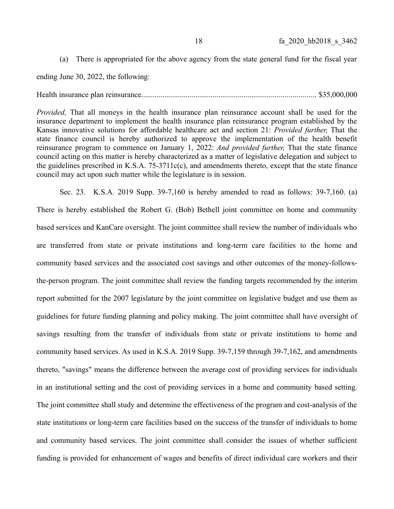(a) There is appropriated for the above agency from the state general fund for the fiscal year

ending June 30, 2022, the following:

## Health insurance plan reinsurance.......................................................................................... \$35,000,000

*Provided,* That all moneys in the health insurance plan reinsurance account shall be used for the insurance department to implement the health insurance plan reinsurance program established by the Kansas innovative solutions for affordable healthcare act and section 21: *Provided further,* That the state finance council is hereby authorized to approve the implementation of the health benefit reinsurance program to commence on January 1, 2022: *And provided further,* That the state finance council acting on this matter is hereby characterized as a matter of legislative delegation and subject to the guidelines prescribed in K.S.A.  $75-3711c(c)$ , and amendments thereto, except that the state finance council may act upon such matter while the legislature is in session.

Sec. 23. K.S.A. 2019 Supp. 39-7,160 is hereby amended to read as follows: 39-7,160. (a) There is hereby established the Robert G. (Bob) Bethell joint committee on home and community based services and KanCare oversight. The joint committee shall review the number of individuals who are transferred from state or private institutions and long-term care facilities to the home and community based services and the associated cost savings and other outcomes of the money-followsthe-person program. The joint committee shall review the funding targets recommended by the interim report submitted for the 2007 legislature by the joint committee on legislative budget and use them as guidelines for future funding planning and policy making. The joint committee shall have oversight of savings resulting from the transfer of individuals from state or private institutions to home and community based services. As used in K.S.A. 2019 Supp. 39-7,159 through 39-7,162, and amendments thereto, "savings" means the difference between the average cost of providing services for individuals in an institutional setting and the cost of providing services in a home and community based setting. The joint committee shall study and determine the effectiveness of the program and cost-analysis of the state institutions or long-term care facilities based on the success of the transfer of individuals to home and community based services. The joint committee shall consider the issues of whether sufficient funding is provided for enhancement of wages and benefits of direct individual care workers and their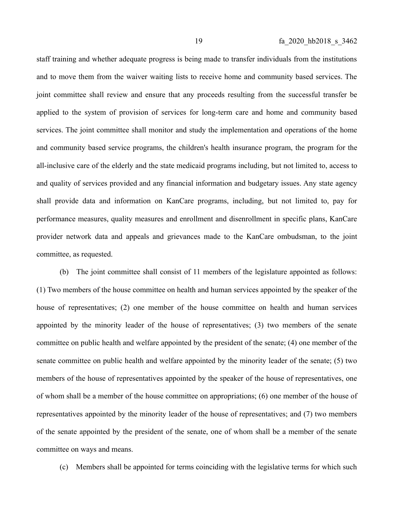staff training and whether adequate progress is being made to transfer individuals from the institutions and to move them from the waiver waiting lists to receive home and community based services. The joint committee shall review and ensure that any proceeds resulting from the successful transfer be applied to the system of provision of services for long-term care and home and community based services. The joint committee shall monitor and study the implementation and operations of the home and community based service programs, the children's health insurance program, the program for the all-inclusive care of the elderly and the state medicaid programs including, but not limited to, access to and quality of services provided and any financial information and budgetary issues. Any state agency shall provide data and information on KanCare programs, including, but not limited to, pay for performance measures, quality measures and enrollment and disenrollment in specific plans, KanCare provider network data and appeals and grievances made to the KanCare ombudsman, to the joint committee, as requested.

(b) The joint committee shall consist of 11 members of the legislature appointed as follows: (1) Two members of the house committee on health and human services appointed by the speaker of the house of representatives; (2) one member of the house committee on health and human services appointed by the minority leader of the house of representatives; (3) two members of the senate committee on public health and welfare appointed by the president of the senate; (4) one member of the senate committee on public health and welfare appointed by the minority leader of the senate; (5) two members of the house of representatives appointed by the speaker of the house of representatives, one of whom shall be a member of the house committee on appropriations; (6) one member of the house of representatives appointed by the minority leader of the house of representatives; and (7) two members of the senate appointed by the president of the senate, one of whom shall be a member of the senate committee on ways and means.

(c) Members shall be appointed for terms coinciding with the legislative terms for which such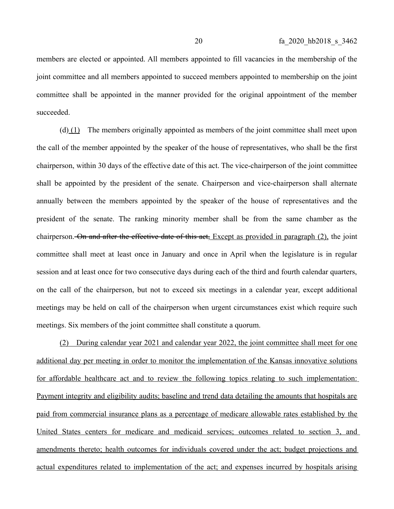members are elected or appointed. All members appointed to fill vacancies in the membership of the joint committee and all members appointed to succeed members appointed to membership on the joint committee shall be appointed in the manner provided for the original appointment of the member succeeded.

(d)  $(1)$  The members originally appointed as members of the joint committee shall meet upon the call of the member appointed by the speaker of the house of representatives, who shall be the first chairperson, within 30 days of the effective date of this act. The vice-chairperson of the joint committee shall be appointed by the president of the senate. Chairperson and vice-chairperson shall alternate annually between the members appointed by the speaker of the house of representatives and the president of the senate. The ranking minority member shall be from the same chamber as the chairperson. On and after the effective date of this act, Except as provided in paragraph (2), the joint committee shall meet at least once in January and once in April when the legislature is in regular session and at least once for two consecutive days during each of the third and fourth calendar quarters, on the call of the chairperson, but not to exceed six meetings in a calendar year, except additional meetings may be held on call of the chairperson when urgent circumstances exist which require such meetings. Six members of the joint committee shall constitute a quorum.

(2) During calendar year 2021 and calendar year 2022, the joint committee shall meet for one additional day per meeting in order to monitor the implementation of the Kansas innovative solutions for affordable healthcare act and to review the following topics relating to such implementation: Payment integrity and eligibility audits; baseline and trend data detailing the amounts that hospitals are paid from commercial insurance plans as a percentage of medicare allowable rates established by the United States centers for medicare and medicaid services; outcomes related to section 3, and amendments thereto; health outcomes for individuals covered under the act; budget projections and actual expenditures related to implementation of the act; and expenses incurred by hospitals arising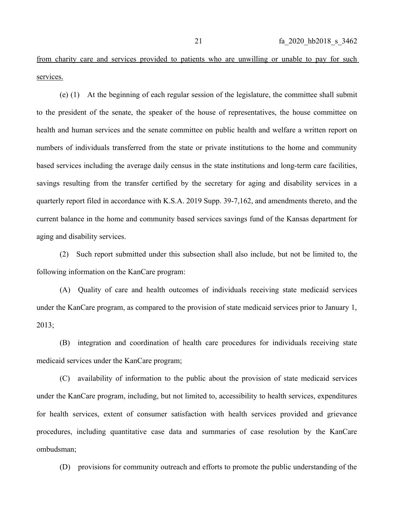from charity care and services provided to patients who are unwilling or unable to pay for such services.

(e) (1) At the beginning of each regular session of the legislature, the committee shall submit to the president of the senate, the speaker of the house of representatives, the house committee on health and human services and the senate committee on public health and welfare a written report on numbers of individuals transferred from the state or private institutions to the home and community based services including the average daily census in the state institutions and long-term care facilities, savings resulting from the transfer certified by the secretary for aging and disability services in a quarterly report filed in accordance with K.S.A. 2019 Supp. 39-7,162, and amendments thereto, and the current balance in the home and community based services savings fund of the Kansas department for aging and disability services.

(2) Such report submitted under this subsection shall also include, but not be limited to, the following information on the KanCare program:

(A) Quality of care and health outcomes of individuals receiving state medicaid services under the KanCare program, as compared to the provision of state medicaid services prior to January 1, 2013;

(B) integration and coordination of health care procedures for individuals receiving state medicaid services under the KanCare program;

(C) availability of information to the public about the provision of state medicaid services under the KanCare program, including, but not limited to, accessibility to health services, expenditures for health services, extent of consumer satisfaction with health services provided and grievance procedures, including quantitative case data and summaries of case resolution by the KanCare ombudsman;

(D) provisions for community outreach and efforts to promote the public understanding of the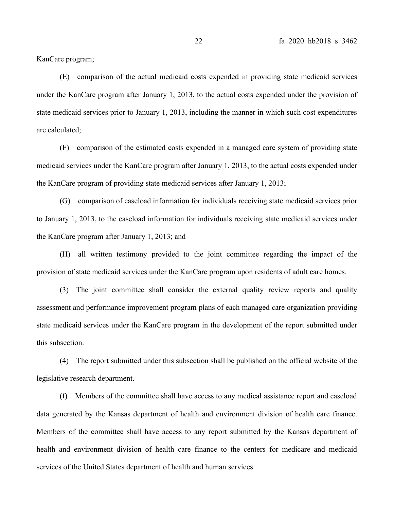KanCare program;

(E) comparison of the actual medicaid costs expended in providing state medicaid services under the KanCare program after January 1, 2013, to the actual costs expended under the provision of state medicaid services prior to January 1, 2013, including the manner in which such cost expenditures are calculated;

(F) comparison of the estimated costs expended in a managed care system of providing state medicaid services under the KanCare program after January 1, 2013, to the actual costs expended under the KanCare program of providing state medicaid services after January 1, 2013;

(G) comparison of caseload information for individuals receiving state medicaid services prior to January 1, 2013, to the caseload information for individuals receiving state medicaid services under the KanCare program after January 1, 2013; and

(H) all written testimony provided to the joint committee regarding the impact of the provision of state medicaid services under the KanCare program upon residents of adult care homes.

(3) The joint committee shall consider the external quality review reports and quality assessment and performance improvement program plans of each managed care organization providing state medicaid services under the KanCare program in the development of the report submitted under this subsection.

(4) The report submitted under this subsection shall be published on the official website of the legislative research department.

(f) Members of the committee shall have access to any medical assistance report and caseload data generated by the Kansas department of health and environment division of health care finance. Members of the committee shall have access to any report submitted by the Kansas department of health and environment division of health care finance to the centers for medicare and medicaid services of the United States department of health and human services.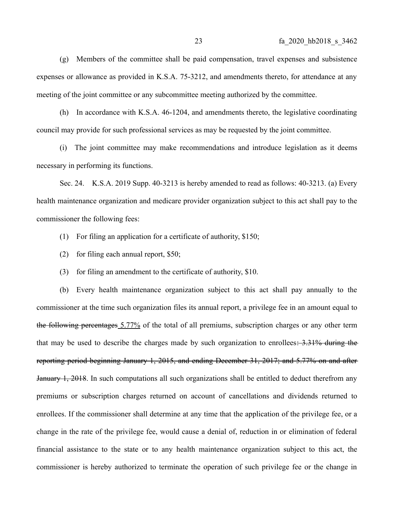(g) Members of the committee shall be paid compensation, travel expenses and subsistence expenses or allowance as provided in K.S.A. 75-3212, and amendments thereto, for attendance at any meeting of the joint committee or any subcommittee meeting authorized by the committee.

(h) In accordance with K.S.A. 46-1204, and amendments thereto, the legislative coordinating council may provide for such professional services as may be requested by the joint committee.

(i) The joint committee may make recommendations and introduce legislation as it deems necessary in performing its functions.

Sec. 24. K.S.A. 2019 Supp. 40-3213 is hereby amended to read as follows: 40-3213. (a) Every health maintenance organization and medicare provider organization subject to this act shall pay to the commissioner the following fees:

- (1) For filing an application for a certificate of authority, \$150;
- (2) for filing each annual report, \$50;
- (3) for filing an amendment to the certificate of authority, \$10.

(b) Every health maintenance organization subject to this act shall pay annually to the commissioner at the time such organization files its annual report, a privilege fee in an amount equal to the following percentages 5.77% of the total of all premiums, subscription charges or any other term that may be used to describe the charges made by such organization to enrollees:  $3.31\%$  during the reporting period beginning January 1, 2015, and ending December 31, 2017; and 5.77% on and after January 1, 2018. In such computations all such organizations shall be entitled to deduct therefrom any premiums or subscription charges returned on account of cancellations and dividends returned to enrollees. If the commissioner shall determine at any time that the application of the privilege fee, or a change in the rate of the privilege fee, would cause a denial of, reduction in or elimination of federal financial assistance to the state or to any health maintenance organization subject to this act, the commissioner is hereby authorized to terminate the operation of such privilege fee or the change in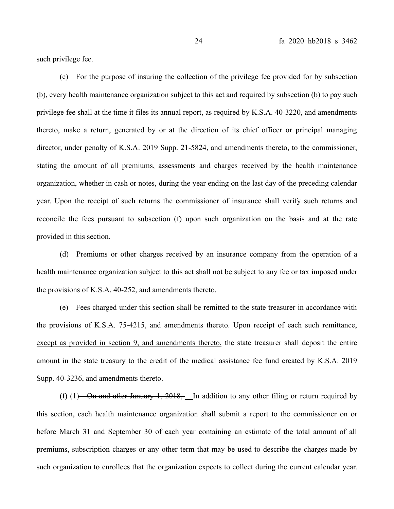such privilege fee.

(c) For the purpose of insuring the collection of the privilege fee provided for by subsection (b), every health maintenance organization subject to this act and required by subsection (b) to pay such privilege fee shall at the time it files its annual report, as required by K.S.A. 40-3220, and amendments thereto, make a return, generated by or at the direction of its chief officer or principal managing director, under penalty of K.S.A. 2019 Supp. 21-5824, and amendments thereto, to the commissioner, stating the amount of all premiums, assessments and charges received by the health maintenance organization, whether in cash or notes, during the year ending on the last day of the preceding calendar year. Upon the receipt of such returns the commissioner of insurance shall verify such returns and reconcile the fees pursuant to subsection (f) upon such organization on the basis and at the rate provided in this section.

(d) Premiums or other charges received by an insurance company from the operation of a health maintenance organization subject to this act shall not be subject to any fee or tax imposed under the provisions of K.S.A. 40-252, and amendments thereto.

(e) Fees charged under this section shall be remitted to the state treasurer in accordance with the provisions of K.S.A. 75-4215, and amendments thereto. Upon receipt of each such remittance, except as provided in section 9, and amendments thereto, the state treasurer shall deposit the entire amount in the state treasury to the credit of the medical assistance fee fund created by K.S.A. 2019 Supp. 40-3236, and amendments thereto.

(f) (1)—On and after January 1, 2018,—In addition to any other filing or return required by this section, each health maintenance organization shall submit a report to the commissioner on or before March 31 and September 30 of each year containing an estimate of the total amount of all premiums, subscription charges or any other term that may be used to describe the charges made by such organization to enrollees that the organization expects to collect during the current calendar year.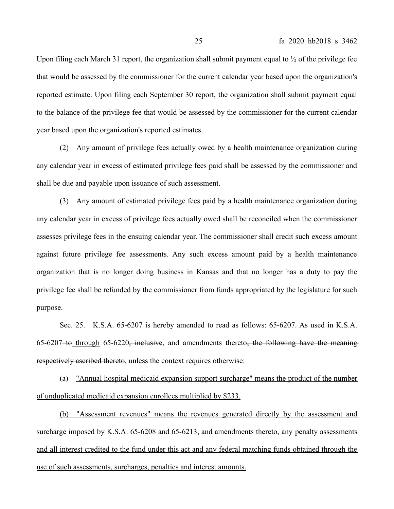Upon filing each March 31 report, the organization shall submit payment equal to  $\frac{1}{2}$  of the privilege fee that would be assessed by the commissioner for the current calendar year based upon the organization's reported estimate. Upon filing each September 30 report, the organization shall submit payment equal to the balance of the privilege fee that would be assessed by the commissioner for the current calendar year based upon the organization's reported estimates.

(2) Any amount of privilege fees actually owed by a health maintenance organization during any calendar year in excess of estimated privilege fees paid shall be assessed by the commissioner and shall be due and payable upon issuance of such assessment.

(3) Any amount of estimated privilege fees paid by a health maintenance organization during any calendar year in excess of privilege fees actually owed shall be reconciled when the commissioner assesses privilege fees in the ensuing calendar year. The commissioner shall credit such excess amount against future privilege fee assessments. Any such excess amount paid by a health maintenance organization that is no longer doing business in Kansas and that no longer has a duty to pay the privilege fee shall be refunded by the commissioner from funds appropriated by the legislature for such purpose.

Sec. 25. K.S.A. 65-6207 is hereby amended to read as follows: 65-6207. As used in K.S.A.  $65-6207$  to through  $65-6220$ , inclusive, and amendments thereto, the following have the meaning respectively ascribed thereto, unless the context requires otherwise:

(a) "Annual hospital medicaid expansion support surcharge" means the product of the number of unduplicated medicaid expansion enrollees multiplied by \$233.

(b) "Assessment revenues" means the revenues generated directly by the assessment and surcharge imposed by K.S.A.  $65-6208$  and  $65-6213$ , and amendments thereto, any penalty assessments and all interest credited to the fund under this act and any federal matching funds obtained through the use of such assessments, surcharges, penalties and interest amounts.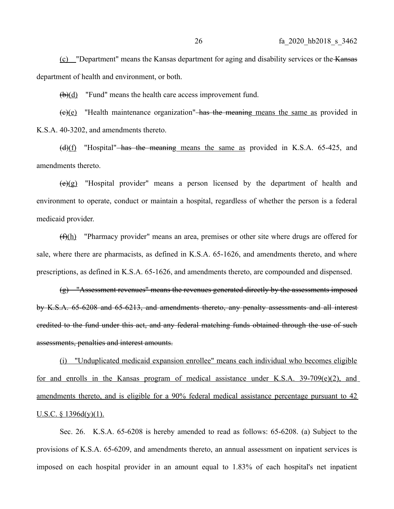(c) "Department" means the Kansas department for aging and disability services or the Kansas department of health and environment, or both.

(b)(d) "Fund" means the health care access improvement fund.

 $(e)(e)$  "Health maintenance organization" has the meaning means the same as provided in K.S.A. 40-3202, and amendments thereto.

 $\frac{d}{f}$  "Hospital"—has the meaning means the same as provided in K.S.A. 65-425, and amendments thereto.

(e)(g) "Hospital provider" means a person licensed by the department of health and environment to operate, conduct or maintain a hospital, regardless of whether the person is a federal medicaid provider.

 $(f)(h)$  "Pharmacy provider" means an area, premises or other site where drugs are offered for sale, where there are pharmacists, as defined in K.S.A. 65-1626, and amendments thereto, and where prescriptions, as defined in K.S.A. 65-1626, and amendments thereto, are compounded and dispensed.

(g) "Assessment revenues" means the revenues generated directly by the assessments imposed by K.S.A. 65-6208 and 65-6213, and amendments thereto, any penalty assessments and all interest credited to the fund under this act, and any federal matching funds obtained through the use of such assessments, penalties and interest amounts.

(i) "Unduplicated medicaid expansion enrollee" means each individual who becomes eligible for and enrolls in the Kansas program of medical assistance under K.S.A. 39-709(e)(2), and amendments thereto, and is eligible for a 90% federal medical assistance percentage pursuant to 42 U.S.C.  $\S$  1396d(y)(1).

Sec. 26. K.S.A. 65-6208 is hereby amended to read as follows: 65-6208. (a) Subject to the provisions of K.S.A. 65-6209, and amendments thereto, an annual assessment on inpatient services is imposed on each hospital provider in an amount equal to 1.83% of each hospital's net inpatient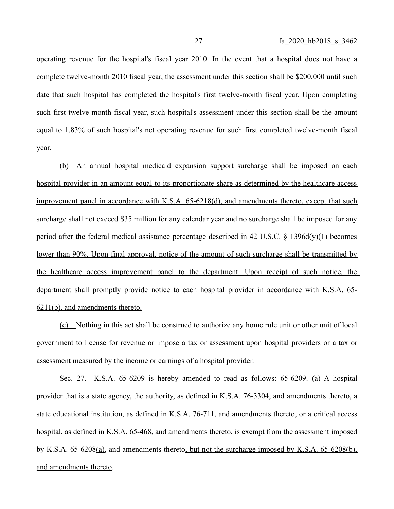operating revenue for the hospital's fiscal year 2010. In the event that a hospital does not have a complete twelve-month 2010 fiscal year, the assessment under this section shall be \$200,000 until such date that such hospital has completed the hospital's first twelve-month fiscal year. Upon completing such first twelve-month fiscal year, such hospital's assessment under this section shall be the amount equal to 1.83% of such hospital's net operating revenue for such first completed twelve-month fiscal year.

(b) An annual hospital medicaid expansion support surcharge shall be imposed on each hospital provider in an amount equal to its proportionate share as determined by the healthcare access improvement panel in accordance with K.S.A. 65-6218(d), and amendments thereto, except that such surcharge shall not exceed \$35 million for any calendar year and no surcharge shall be imposed for any period after the federal medical assistance percentage described in 42 U.S.C. § 1396d(y)(1) becomes lower than 90%. Upon final approval, notice of the amount of such surcharge shall be transmitted by the healthcare access improvement panel to the department. Upon receipt of such notice, the department shall promptly provide notice to each hospital provider in accordance with K.S.A. 65- 6211(b), and amendments thereto.

(c) Nothing in this act shall be construed to authorize any home rule unit or other unit of local government to license for revenue or impose a tax or assessment upon hospital providers or a tax or assessment measured by the income or earnings of a hospital provider.

Sec. 27. K.S.A. 65-6209 is hereby amended to read as follows: 65-6209. (a) A hospital provider that is a state agency, the authority, as defined in K.S.A. 76-3304, and amendments thereto, a state educational institution, as defined in K.S.A. 76-711, and amendments thereto, or a critical access hospital, as defined in K.S.A. 65-468, and amendments thereto, is exempt from the assessment imposed by K.S.A. 65-6208(a), and amendments thereto, but not the surcharge imposed by K.S.A. 65-6208(b), and amendments thereto.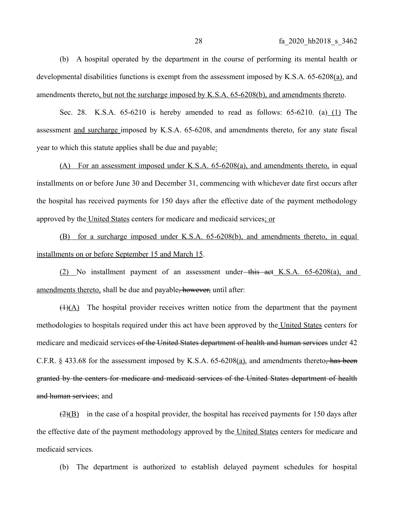(b) A hospital operated by the department in the course of performing its mental health or developmental disabilities functions is exempt from the assessment imposed by K.S.A. 65-6208(a), and amendments thereto, but not the surcharge imposed by K.S.A. 65-6208(b), and amendments thereto.

Sec. 28. K.S.A. 65-6210 is hereby amended to read as follows: 65-6210. (a) (1) The assessment and surcharge imposed by K.S.A. 65-6208, and amendments thereto, for any state fiscal year to which this statute applies shall be due and payable:

(A) For an assessment imposed under K.S.A.  $65-6208(a)$ , and amendments thereto, in equal installments on or before June 30 and December 31, commencing with whichever date first occurs after the hospital has received payments for 150 days after the effective date of the payment methodology approved by the United States centers for medicare and medicaid services; or

(B) for a surcharge imposed under K.S.A. 65-6208(b), and amendments thereto, in equal installments on or before September 15 and March 15.

(2) No installment payment of an assessment under-this act K.S.A.  $65-6208(a)$ , and amendments thereto, shall be due and payable<del>, however,</del> until after:

 $(1)(A)$  The hospital provider receives written notice from the department that the payment methodologies to hospitals required under this act have been approved by the United States centers for medicare and medicaid services of the United States department of health and human services under 42 C.F.R.  $\S$  433.68 for the assessment imposed by K.S.A. 65-6208(a), and amendments thereto, has been granted by the centers for medicare and medicaid services of the United States department of health and human services; and

 $(2)(B)$  in the case of a hospital provider, the hospital has received payments for 150 days after the effective date of the payment methodology approved by the United States centers for medicare and medicaid services.

(b) The department is authorized to establish delayed payment schedules for hospital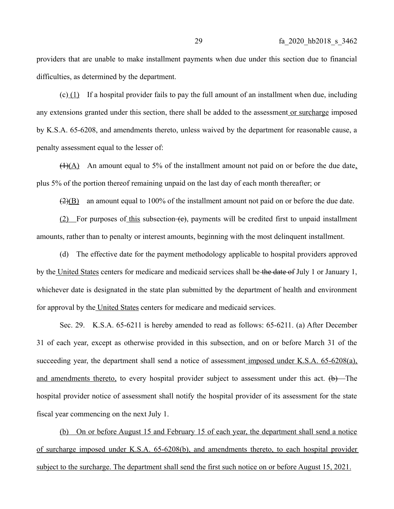providers that are unable to make installment payments when due under this section due to financial difficulties, as determined by the department.

(c)  $(1)$  If a hospital provider fails to pay the full amount of an installment when due, including any extensions granted under this section, there shall be added to the assessment or surcharge imposed by K.S.A. 65-6208, and amendments thereto, unless waived by the department for reasonable cause, a penalty assessment equal to the lesser of:

 $(1)(A)$  An amount equal to 5% of the installment amount not paid on or before the due date, plus 5% of the portion thereof remaining unpaid on the last day of each month thereafter; or

 $(2)(B)$  an amount equal to 100% of the installment amount not paid on or before the due date.

 $(2)$  For purposes of this subsection  $(e)$ , payments will be credited first to unpaid installment amounts, rather than to penalty or interest amounts, beginning with the most delinquent installment.

(d) The effective date for the payment methodology applicable to hospital providers approved by the United States centers for medicare and medicaid services shall be the date of July 1 or January 1, whichever date is designated in the state plan submitted by the department of health and environment for approval by the United States centers for medicare and medicaid services.

Sec. 29. K.S.A. 65-6211 is hereby amended to read as follows: 65-6211. (a) After December 31 of each year, except as otherwise provided in this subsection, and on or before March 31 of the succeeding year, the department shall send a notice of assessment imposed under K.S.A. 65-6208(a), and amendments thereto, to every hospital provider subject to assessment under this act.  $(\theta)$ —The hospital provider notice of assessment shall notify the hospital provider of its assessment for the state fiscal year commencing on the next July 1.

(b) On or before August 15 and February 15 of each year, the department shall send a notice of surcharge imposed under K.S.A. 65-6208(b), and amendments thereto, to each hospital provider subject to the surcharge. The department shall send the first such notice on or before August 15, 2021.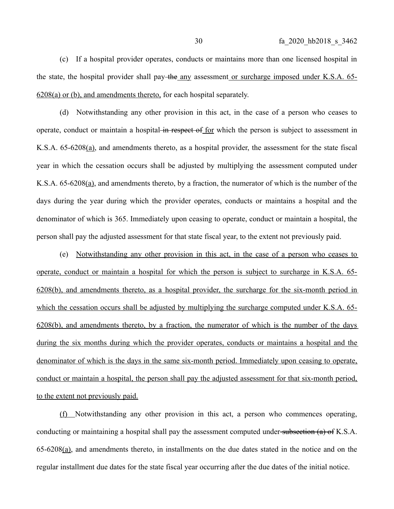(c) If a hospital provider operates, conducts or maintains more than one licensed hospital in the state, the hospital provider shall pay-the any assessment or surcharge imposed under K.S.A. 65-6208(a) or (b), and amendments thereto, for each hospital separately.

(d) Notwithstanding any other provision in this act, in the case of a person who ceases to operate, conduct or maintain a hospital in respect of for which the person is subject to assessment in K.S.A. 65-6208(a), and amendments thereto, as a hospital provider, the assessment for the state fiscal year in which the cessation occurs shall be adjusted by multiplying the assessment computed under K.S.A. 65-6208(a), and amendments thereto, by a fraction, the numerator of which is the number of the days during the year during which the provider operates, conducts or maintains a hospital and the denominator of which is 365. Immediately upon ceasing to operate, conduct or maintain a hospital, the person shall pay the adjusted assessment for that state fiscal year, to the extent not previously paid.

(e) Notwithstanding any other provision in this act, in the case of a person who ceases to operate, conduct or maintain a hospital for which the person is subject to surcharge in K.S.A. 65- 6208(b), and amendments thereto, as a hospital provider, the surcharge for the six-month period in which the cessation occurs shall be adjusted by multiplying the surcharge computed under K.S.A. 65-6208(b), and amendments thereto, by a fraction, the numerator of which is the number of the days during the six months during which the provider operates, conducts or maintains a hospital and the denominator of which is the days in the same six-month period. Immediately upon ceasing to operate, conduct or maintain a hospital, the person shall pay the adjusted assessment for that six-month period, to the extent not previously paid.

(f) Notwithstanding any other provision in this act, a person who commences operating, conducting or maintaining a hospital shall pay the assessment computed under-subsection (a) of K.S.A. 65-6208(a), and amendments thereto, in installments on the due dates stated in the notice and on the regular installment due dates for the state fiscal year occurring after the due dates of the initial notice.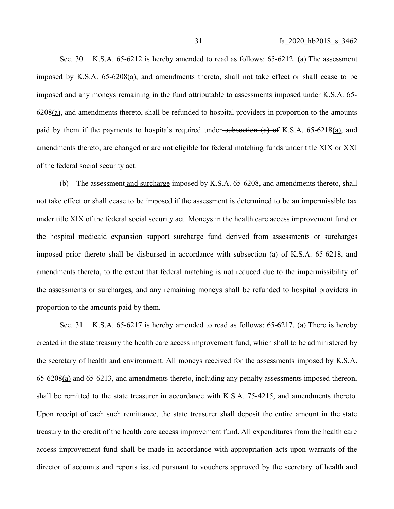Sec. 30. K.S.A. 65-6212 is hereby amended to read as follows: 65-6212. (a) The assessment imposed by K.S.A. 65-6208(a), and amendments thereto, shall not take effect or shall cease to be imposed and any moneys remaining in the fund attributable to assessments imposed under K.S.A. 65- 6208(a), and amendments thereto, shall be refunded to hospital providers in proportion to the amounts paid by them if the payments to hospitals required under-subsection  $(a)$  of K.S.A. 65-6218 $(a)$ , and amendments thereto, are changed or are not eligible for federal matching funds under title XIX or XXI of the federal social security act.

(b) The assessment and surcharge imposed by K.S.A. 65-6208, and amendments thereto, shall not take effect or shall cease to be imposed if the assessment is determined to be an impermissible tax under title XIX of the federal social security act. Moneys in the health care access improvement fund or the hospital medicaid expansion support surcharge fund derived from assessments or surcharges imposed prior thereto shall be disbursed in accordance with subsection (a) of K.S.A. 65-6218, and amendments thereto, to the extent that federal matching is not reduced due to the impermissibility of the assessments or surcharges, and any remaining moneys shall be refunded to hospital providers in proportion to the amounts paid by them.

Sec. 31. K.S.A. 65-6217 is hereby amended to read as follows: 65-6217. (a) There is hereby created in the state treasury the health care access improvement fund, which shall to be administered by the secretary of health and environment. All moneys received for the assessments imposed by K.S.A. 65-6208(a) and 65-6213, and amendments thereto, including any penalty assessments imposed thereon, shall be remitted to the state treasurer in accordance with K.S.A. 75-4215, and amendments thereto. Upon receipt of each such remittance, the state treasurer shall deposit the entire amount in the state treasury to the credit of the health care access improvement fund. All expenditures from the health care access improvement fund shall be made in accordance with appropriation acts upon warrants of the director of accounts and reports issued pursuant to vouchers approved by the secretary of health and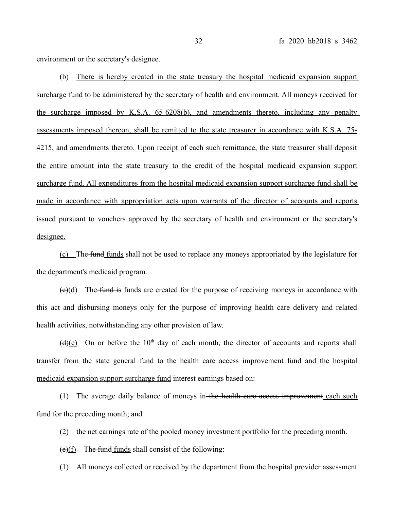environment or the secretary's designee.

(b) There is hereby created in the state treasury the hospital medicaid expansion support surcharge fund to be administered by the secretary of health and environment. All moneys received for the surcharge imposed by K.S.A. 65-6208(b), and amendments thereto, including any penalty assessments imposed thereon, shall be remitted to the state treasurer in accordance with K.S.A. 75- 4215, and amendments thereto. Upon receipt of each such remittance, the state treasurer shall deposit the entire amount into the state treasury to the credit of the hospital medicaid expansion support surcharge fund. All expenditures from the hospital medicaid expansion support surcharge fund shall be made in accordance with appropriation acts upon warrants of the director of accounts and reports issued pursuant to vouchers approved by the secretary of health and environment or the secretary's designee.

(c) The fund funds shall not be used to replace any moneys appropriated by the legislature for the department's medicaid program.

 $(e)(d)$  The-fund is funds are created for the purpose of receiving moneys in accordance with this act and disbursing moneys only for the purpose of improving health care delivery and related health activities, notwithstanding any other provision of law.

 $(d)(e)$  On or before the 10<sup>th</sup> day of each month, the director of accounts and reports shall transfer from the state general fund to the health care access improvement fund and the hospital medicaid expansion support surcharge fund interest earnings based on:

(1) The average daily balance of moneys in the health care access improvement each such fund for the preceding month; and

(2) the net earnings rate of the pooled money investment portfolio for the preceding month.

 $(e)(f)$  The fund funds shall consist of the following:

(1) All moneys collected or received by the department from the hospital provider assessment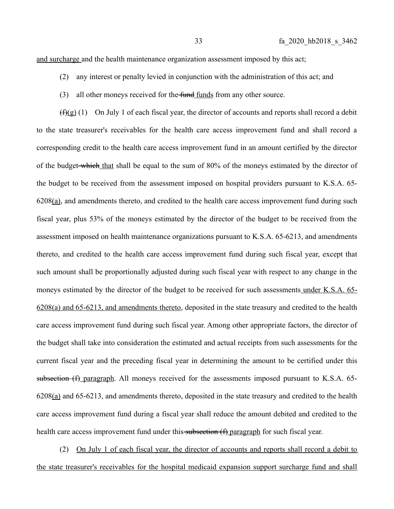and surcharge and the health maintenance organization assessment imposed by this act;

- (2) any interest or penalty levied in conjunction with the administration of this act; and
- (3) all other moneys received for the fund funds from any other source.

 $(f)(g)(1)$  On July 1 of each fiscal year, the director of accounts and reports shall record a debit to the state treasurer's receivables for the health care access improvement fund and shall record a corresponding credit to the health care access improvement fund in an amount certified by the director of the budget-which that shall be equal to the sum of 80% of the moneys estimated by the director of the budget to be received from the assessment imposed on hospital providers pursuant to K.S.A. 65-  $6208(a)$ , and amendments thereto, and credited to the health care access improvement fund during such fiscal year, plus 53% of the moneys estimated by the director of the budget to be received from the assessment imposed on health maintenance organizations pursuant to K.S.A. 65-6213, and amendments thereto, and credited to the health care access improvement fund during such fiscal year, except that such amount shall be proportionally adjusted during such fiscal year with respect to any change in the moneys estimated by the director of the budget to be received for such assessments under K.S.A. 65- 6208(a) and 65-6213, and amendments thereto, deposited in the state treasury and credited to the health care access improvement fund during such fiscal year. Among other appropriate factors, the director of the budget shall take into consideration the estimated and actual receipts from such assessments for the current fiscal year and the preceding fiscal year in determining the amount to be certified under this subsection (f) paragraph. All moneys received for the assessments imposed pursuant to K.S.A. 65-6208(a) and 65-6213, and amendments thereto, deposited in the state treasury and credited to the health care access improvement fund during a fiscal year shall reduce the amount debited and credited to the health care access improvement fund under this subsection (f) paragraph for such fiscal year.

(2) On July 1 of each fiscal year, the director of accounts and reports shall record a debit to the state treasurer's receivables for the hospital medicaid expansion support surcharge fund and shall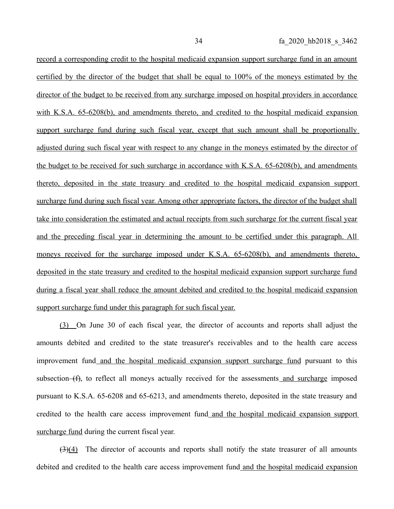record a corresponding credit to the hospital medicaid expansion support surcharge fund in an amount certified by the director of the budget that shall be equal to 100% of the moneys estimated by the director of the budget to be received from any surcharge imposed on hospital providers in accordance with K.S.A. 65-6208(b), and amendments thereto, and credited to the hospital medicaid expansion support surcharge fund during such fiscal year, except that such amount shall be proportionally adjusted during such fiscal year with respect to any change in the moneys estimated by the director of the budget to be received for such surcharge in accordance with K.S.A. 65-6208(b), and amendments thereto, deposited in the state treasury and credited to the hospital medicaid expansion support surcharge fund during such fiscal year. Among other appropriate factors, the director of the budget shall take into consideration the estimated and actual receipts from such surcharge for the current fiscal year and the preceding fiscal year in determining the amount to be certified under this paragraph. All moneys received for the surcharge imposed under K.S.A. 65-6208(b), and amendments thereto, deposited in the state treasury and credited to the hospital medicaid expansion support surcharge fund during a fiscal year shall reduce the amount debited and credited to the hospital medicaid expansion support surcharge fund under this paragraph for such fiscal year.

(3) On June 30 of each fiscal year, the director of accounts and reports shall adjust the amounts debited and credited to the state treasurer's receivables and to the health care access improvement fund and the hospital medicaid expansion support surcharge fund pursuant to this subsection (f), to reflect all moneys actually received for the assessments and surcharge imposed pursuant to K.S.A. 65-6208 and 65-6213, and amendments thereto, deposited in the state treasury and credited to the health care access improvement fund and the hospital medicaid expansion support surcharge fund during the current fiscal year.

 $(3)(4)$  The director of accounts and reports shall notify the state treasurer of all amounts debited and credited to the health care access improvement fund and the hospital medicaid expansion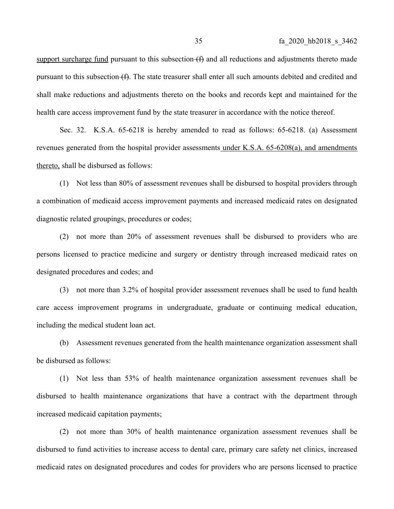support surcharge fund pursuant to this subsection  $(f)$  and all reductions and adjustments thereto made pursuant to this subsection (f). The state treasurer shall enter all such amounts debited and credited and shall make reductions and adjustments thereto on the books and records kept and maintained for the health care access improvement fund by the state treasurer in accordance with the notice thereof.

Sec. 32. K.S.A. 65-6218 is hereby amended to read as follows: 65-6218. (a) Assessment revenues generated from the hospital provider assessments under K.S.A. 65-6208(a), and amendments thereto, shall be disbursed as follows:

(1) Not less than 80% of assessment revenues shall be disbursed to hospital providers through a combination of medicaid access improvement payments and increased medicaid rates on designated diagnostic related groupings, procedures or codes;

(2) not more than 20% of assessment revenues shall be disbursed to providers who are persons licensed to practice medicine and surgery or dentistry through increased medicaid rates on designated procedures and codes; and

(3) not more than 3.2% of hospital provider assessment revenues shall be used to fund health care access improvement programs in undergraduate, graduate or continuing medical education, including the medical student loan act.

(b) Assessment revenues generated from the health maintenance organization assessment shall be disbursed as follows:

(1) Not less than 53% of health maintenance organization assessment revenues shall be disbursed to health maintenance organizations that have a contract with the department through increased medicaid capitation payments;

(2) not more than 30% of health maintenance organization assessment revenues shall be disbursed to fund activities to increase access to dental care, primary care safety net clinics, increased medicaid rates on designated procedures and codes for providers who are persons licensed to practice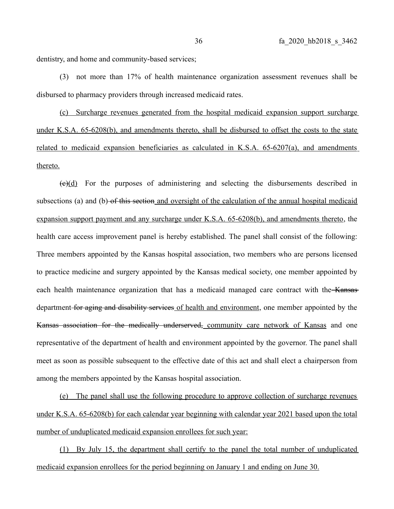dentistry, and home and community-based services;

(3) not more than 17% of health maintenance organization assessment revenues shall be disbursed to pharmacy providers through increased medicaid rates.

(c) Surcharge revenues generated from the hospital medicaid expansion support surcharge under K.S.A. 65-6208(b), and amendments thereto, shall be disbursed to offset the costs to the state related to medicaid expansion beneficiaries as calculated in K.S.A. 65-6207(a), and amendments thereto.

 $(e)(d)$  For the purposes of administering and selecting the disbursements described in subsections (a) and (b) of this section and oversight of the calculation of the annual hospital medicaid expansion support payment and any surcharge under K.S.A. 65-6208(b), and amendments thereto, the health care access improvement panel is hereby established. The panel shall consist of the following: Three members appointed by the Kansas hospital association, two members who are persons licensed to practice medicine and surgery appointed by the Kansas medical society, one member appointed by each health maintenance organization that has a medicaid managed care contract with the Kansas department for aging and disability services of health and environment, one member appointed by the Kansas association for the medically underserved, community care network of Kansas and one representative of the department of health and environment appointed by the governor. The panel shall meet as soon as possible subsequent to the effective date of this act and shall elect a chairperson from among the members appointed by the Kansas hospital association.

(e) The panel shall use the following procedure to approve collection of surcharge revenues under K.S.A. 65-6208(b) for each calendar year beginning with calendar year 2021 based upon the total number of unduplicated medicaid expansion enrollees for such year:

 (1) By July 15, the department shall certify to the panel the total number of unduplicated medicaid expansion enrollees for the period beginning on January 1 and ending on June 30.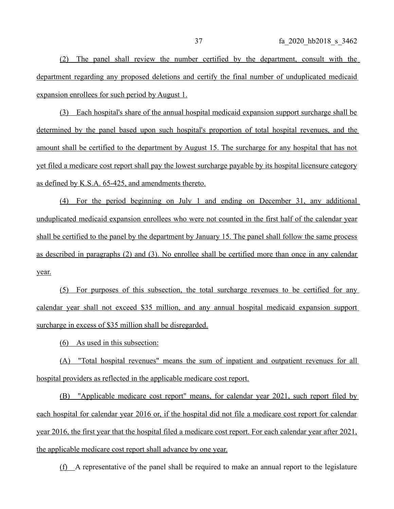(2) The panel shall review the number certified by the department, consult with the department regarding any proposed deletions and certify the final number of unduplicated medicaid expansion enrollees for such period by August 1.

(3) Each hospital's share of the annual hospital medicaid expansion support surcharge shall be determined by the panel based upon such hospital's proportion of total hospital revenues, and the amount shall be certified to the department by August 15. The surcharge for any hospital that has not yet filed a medicare cost report shall pay the lowest surcharge payable by its hospital licensure category as defined by K.S.A. 65-425, and amendments thereto.

(4) For the period beginning on July 1 and ending on December 31, any additional unduplicated medicaid expansion enrollees who were not counted in the first half of the calendar year shall be certified to the panel by the department by January 15. The panel shall follow the same process as described in paragraphs (2) and (3). No enrollee shall be certified more than once in any calendar year.

(5) For purposes of this subsection, the total surcharge revenues to be certified for any calendar year shall not exceed \$35 million, and any annual hospital medicaid expansion support surcharge in excess of \$35 million shall be disregarded.

(6) As used in this subsection:

(A) "Total hospital revenues" means the sum of inpatient and outpatient revenues for all hospital providers as reflected in the applicable medicare cost report.

(B) "Applicable medicare cost report" means, for calendar year 2021, such report filed by each hospital for calendar year 2016 or, if the hospital did not file a medicare cost report for calendar year 2016, the first year that the hospital filed a medicare cost report. For each calendar year after 2021, the applicable medicare cost report shall advance by one year.

(f) A representative of the panel shall be required to make an annual report to the legislature